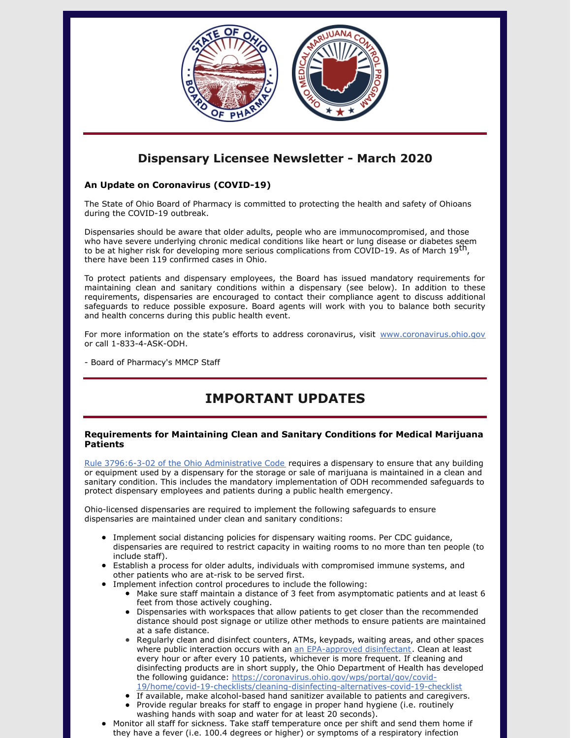

### **Dispensary Licensee Newsletter - March 2020**

### **An Update on Coronavirus (COVID-19)**

The State of Ohio Board of Pharmacy is committed to protecting the health and safety of Ohioans during the COVID-19 outbreak.

Dispensaries should be aware that older adults, people who are immunocompromised, and those who have severe underlying chronic medical conditions like heart or lung disease or diabetes seem to be at higher risk for developing more serious complications from COVID-19. As of March 19<sup>th</sup>, there have been 119 confirmed cases in Ohio.

To protect patients and dispensary employees, the Board has issued mandatory requirements for maintaining clean and sanitary conditions within a dispensary (see below). In addition to these requirements, dispensaries are encouraged to contact their compliance agent to discuss additional safeguards to reduce possible exposure. Board agents will work with you to balance both security and health concerns during this public health event.

For more information on the state's efforts to address coronavirus, visit [www.coronavirus.ohio.gov](https://gcc01.safelinks.protection.outlook.com/?url=http%3A%2F%2Fwww.coronavirus.ohio.gov%2F&data=02%7C01%7Ccameron.mcnamee%40pharmacy.ohio.gov%7C83447dc623524b60fc7108d7cac4f492%7C50f8fcc494d84f0784eb36ed57c7c8a2%7C0%7C1%7C637200819579387517&sdata=GPCJMAx4%2BvBnFz3GT5SlNlmunfBGRbfs0el8rSoH2D0%3D&reserved=0) or call 1-833-4-ASK-ODH.

- Board of Pharmacy's MMCP Staff

# **IMPORTANT UPDATES**

#### **Requirements for Maintaining Clean and Sanitary Conditions for Medical Marijuana Patients**

Rule 3796:6-3-02 of the Ohio [Administrative](http://codes.ohio.gov/oac/3796:6-3-02) Code requires a dispensary to ensure that any building or equipment used by a dispensary for the storage or sale of marijuana is maintained in a clean and sanitary condition. This includes the mandatory implementation of ODH recommended safeguards to protect dispensary employees and patients during a public health emergency.

Ohio-licensed dispensaries are required to implement the following safeguards to ensure dispensaries are maintained under clean and sanitary conditions:

- Implement social distancing policies for dispensary waiting rooms. Per CDC guidance, dispensaries are required to restrict capacity in waiting rooms to no more than ten people (to include staff).
- Establish a process for older adults, individuals with compromised immune systems, and other patients who are at-risk to be served first.
- Implement infection control procedures to include the following:
	- $\bullet$  Make sure staff maintain a distance of 3 feet from asymptomatic patients and at least 6 feet from those actively coughing.
	- Dispensaries with workspaces that allow patients to get closer than the recommended distance should post signage or utilize other methods to ensure patients are maintained at a safe distance.
	- Regularly clean and disinfect counters, ATMs, keypads, waiting areas, and other spaces where public interaction occurs with an an [EPA-approved](https://www.epa.gov/pesticide-registration/list-n-disinfectants-use-against-sars-cov-2) disinfectant. Clean at least every hour or after every 10 patients, whichever is more frequent. If cleaning and disinfecting products are in short supply, the Ohio Department of Health has developed the following guidance: https://coronavirus.ohio.gov/wps/portal/gov/covid-[19/home/covid-19-checklists/cleaning-disinfecting-alternatives-covid-19-checklist](https://coronavirus.ohio.gov/wps/portal/gov/covid-19/home/covid-19-checklists/cleaning-disinfecting-alternatives-covid-19-checklist)
	- If available, make alcohol-based hand sanitizer available to patients and caregivers.
	- Provide regular breaks for staff to engage in proper hand hygiene (i.e. routinely washing hands with soap and water for at least 20 seconds).
- Monitor all staff for sickness. Take staff temperature once per shift and send them home if they have a fever (i.e. 100.4 degrees or higher) or symptoms of a respiratory infection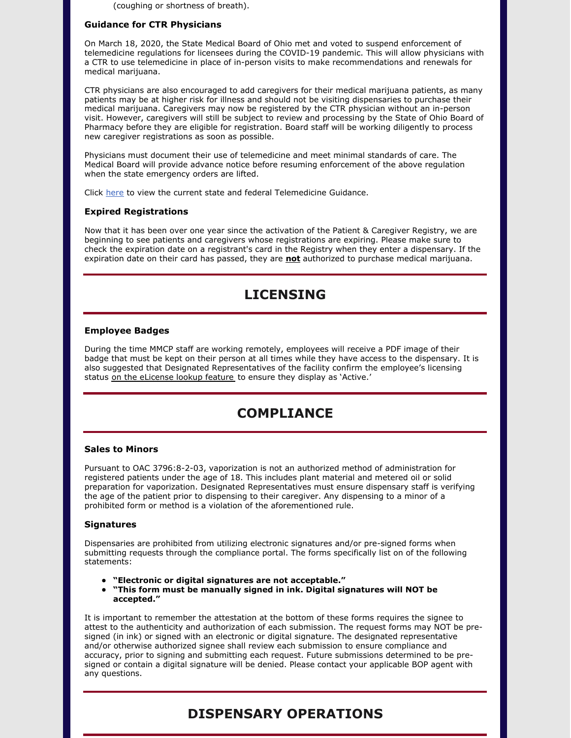(coughing or shortness of breath).

#### **Guidance for CTR Physicians**

On March 18, 2020, the State Medical Board of Ohio met and voted to suspend enforcement of telemedicine regulations for licensees during the COVID-19 pandemic. This will allow physicians with a CTR to use telemedicine in place of in-person visits to make recommendations and renewals for medical marijuana.

CTR physicians are also encouraged to add caregivers for their medical marijuana patients, as many patients may be at higher risk for illness and should not be visiting dispensaries to purchase their medical marijuana. Caregivers may now be registered by the CTR physician without an in-person visit. However, caregivers will still be subject to review and processing by the State of Ohio Board of Pharmacy before they are eligible for registration. Board staff will be working diligently to process new caregiver registrations as soon as possible.

Physicians must document their use of telemedicine and meet minimal standards of care. The Medical Board will provide advance notice before resuming enforcement of the above regulation when the state emergency orders are lifted.

Click [here](https://www.med.ohio.gov/Portals/0/Resources/COVID-19/3_18 Telemed Guidance Updated March 18.pdf?ver=2020-03-18-215407-857) to view the current state and federal Telemedicine Guidance.

#### **Expired Registrations**

Now that it has been over one year since the activation of the Patient & Caregiver Registry, we are beginning to see patients and caregivers whose registrations are expiring. Please make sure to check the expiration date on a registrant's card in the Registry when they enter a dispensary. If the expiration date on their card has passed, they are **not** authorized to purchase medical marijuana.

### **LICENSING**

#### **Employee Badges**

During the time MMCP staff are working remotely, employees will receive a PDF image of their badge that must be kept on their person at all times while they have access to the dispensary. It is also suggested that Designated Representatives of the facility confirm the employee's licensing status on the [eLicense](http://r20.rs6.net/tn.jsp?f=001Ppa8LpgGEITvus1_j2qshafvVvnKWokNmS1j4CD5NtuUS2ufFV1QTJurGEuZsLUhw7X5YmkpkD206WXO5LPi3XXtZ2msKOosjQK38inLFvpSQnNIT1BgdLl6r3DbnAqen42qtY6dECuUIcIpv5QNznBN46A8IgpdKmh1R-NOklE=&c=lmmA-egMkRf6uw3cvjo9urE5euB0STcI3VTmJl20IX3eJTcUR0D3aA==&ch=xbPUy1Tfch_A-KwTexwc-KWCMqHvRb7pzRDyUwT6BvS7hxnNPLSjqA==) lookup feature to ensure they display as 'Active.'

## **COMPLIANCE**

#### **Sales to Minors**

Pursuant to OAC 3796:8-2-03, vaporization is not an authorized method of administration for registered patients under the age of 18. This includes plant material and metered oil or solid preparation for vaporization. Designated Representatives must ensure dispensary staff is verifying the age of the patient prior to dispensing to their caregiver. Any dispensing to a minor of a prohibited form or method is a violation of the aforementioned rule.

#### **Signatures**

Dispensaries are prohibited from utilizing electronic signatures and/or pre-signed forms when submitting requests through the compliance portal. The forms specifically list on of the following statements:

- **"Electronic or digital signatures are not acceptable."**
- **"This form must be manually signed in ink. Digital signatures will NOT be accepted."**

It is important to remember the attestation at the bottom of these forms requires the signee to attest to the authenticity and authorization of each submission. The request forms may NOT be presigned (in ink) or signed with an electronic or digital signature. The designated representative and/or otherwise authorized signee shall review each submission to ensure compliance and accuracy, prior to signing and submitting each request. Future submissions determined to be presigned or contain a digital signature will be denied. Please contact your applicable BOP agent with any questions.

### **DISPENSARY OPERATIONS**